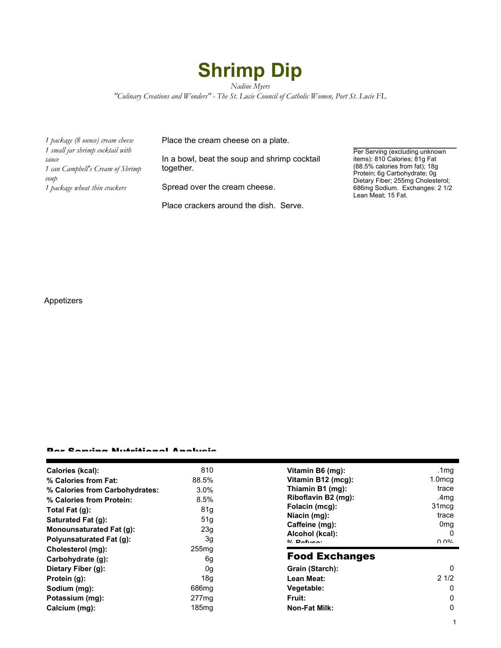

*Nadine Myers*

*"Culinary Creations and Wonders" - The St. Lucie Council of Catholic Women, Port St. Lucie FL*

*1 package (8 ounce) cream cheese 1 small jar shrimp cocktail with sauce 1 can Campbell's Cream of Shrimp soup 1 package wheat thin crackers*

Place the cream cheese on a plate.

In a bowl, beat the soup and shrimp cocktail together.

Spread over the cream cheese.

Place crackers around the dish. Serve.

Per Serving (excluding unknown items): 810 Calories; 81g Fat (88.5% calories from fat); 18g Protein; 6g Carbohydrate; 0g Dietary Fiber; 255mg Cholesterol; 686mg Sodium. Exchanges: 2 1/2 Lean Meat; 15 Fat.

Appetizers

## Per Serving Nutritional Analysis

|                                 | 810               |                       |                   |
|---------------------------------|-------------------|-----------------------|-------------------|
| Calories (kcal):                |                   | Vitamin B6 (mg):      | .1 $mg$           |
| % Calories from Fat:            | 88.5%             | Vitamin B12 (mcg):    | $1.0$ mcg         |
| % Calories from Carbohydrates:  | 3.0%              | Thiamin B1 (mg):      | trace             |
| % Calories from Protein:        | 8.5%              | Riboflavin B2 (mg):   | .4mg              |
| Total Fat $(g)$ :               | 81g               | Folacin (mcg):        | 31 <sub>mcq</sub> |
| Saturated Fat (g):              | 51g               | Niacin (mg):          | trace             |
| <b>Monounsaturated Fat (g):</b> | 23 <sub>g</sub>   | Caffeine (mg):        | 0 <sub>mg</sub>   |
|                                 |                   | Alcohol (kcal):       | 0                 |
| <b>Polyunsaturated Fat (g):</b> | 3g                | $0/$ Dofuso:          | በ በ%              |
| Cholesterol (mg):               | 255 <sub>mg</sub> |                       |                   |
| Carbohydrate (g):               | 6g                | <b>Food Exchanges</b> |                   |
| Dietary Fiber (g):              | 0g                | Grain (Starch):       | 0                 |
| Protein (g):                    | 18g               | Lean Meat:            | 21/2              |
| Sodium (mg):                    | 686 <sub>mg</sub> | Vegetable:            | 0                 |
| Potassium (mg):                 | 277 <sub>mg</sub> | <b>Fruit:</b>         | 0                 |
| Calcium (mg):                   | 185mg             | Non-Fat Milk:         | 0                 |
|                                 |                   |                       |                   |